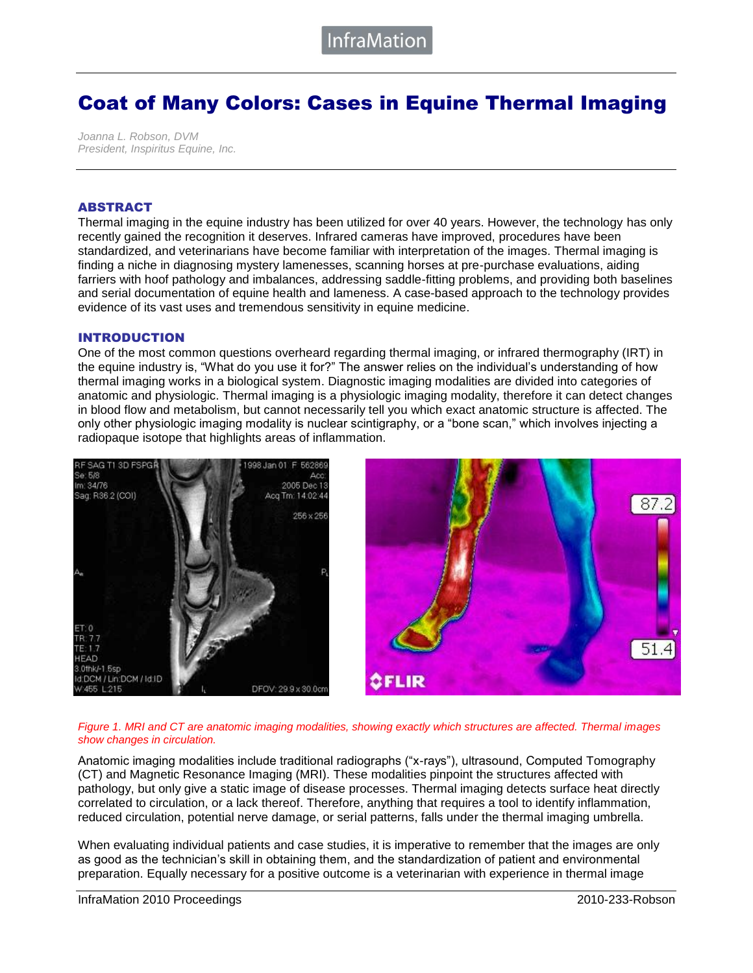# Coat of Many Colors: Cases in Equine Thermal Imaging

*Joanna L. Robson, DVM President, Inspiritus Equine, Inc.* 

#### ABSTRACT

Thermal imaging in the equine industry has been utilized for over 40 years. However, the technology has only recently gained the recognition it deserves. Infrared cameras have improved, procedures have been standardized, and veterinarians have become familiar with interpretation of the images. Thermal imaging is finding a niche in diagnosing mystery lamenesses, scanning horses at pre-purchase evaluations, aiding farriers with hoof pathology and imbalances, addressing saddle-fitting problems, and providing both baselines and serial documentation of equine health and lameness. A case-based approach to the technology provides evidence of its vast uses and tremendous sensitivity in equine medicine.

### INTRODUCTION

One of the most common questions overheard regarding thermal imaging, or infrared thermography (IRT) in the equine industry is, "What do you use it for?" The answer relies on the individual's understanding of how thermal imaging works in a biological system. Diagnostic imaging modalities are divided into categories of anatomic and physiologic. Thermal imaging is a physiologic imaging modality, therefore it can detect changes in blood flow and metabolism, but cannot necessarily tell you which exact anatomic structure is affected. The only other physiologic imaging modality is nuclear scintigraphy, or a "bone scan," which involves injecting a radiopaque isotope that highlights areas of inflammation.



#### *Figure 1. MRI and CT are anatomic imaging modalities, showing exactly which structures are affected. Thermal images show changes in circulation.*

Anatomic imaging modalities include traditional radiographs ("x-rays"), ultrasound, Computed Tomography (CT) and Magnetic Resonance Imaging (MRI). These modalities pinpoint the structures affected with pathology, but only give a static image of disease processes. Thermal imaging detects surface heat directly correlated to circulation, or a lack thereof. Therefore, anything that requires a tool to identify inflammation, reduced circulation, potential nerve damage, or serial patterns, falls under the thermal imaging umbrella.

When evaluating individual patients and case studies, it is imperative to remember that the images are only as good as the technician's skill in obtaining them, and the standardization of patient and environmental preparation. Equally necessary for a positive outcome is a veterinarian with experience in thermal image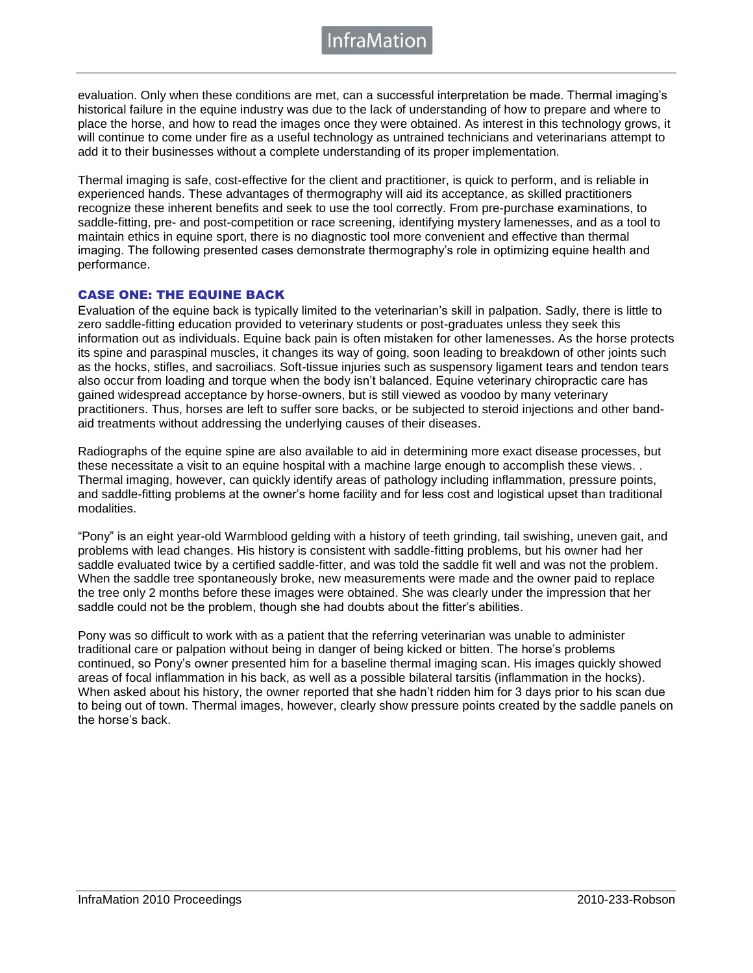nfraMatior

evaluation. Only when these conditions are met, can a successful interpretation be made. Thermal imaging's historical failure in the equine industry was due to the lack of understanding of how to prepare and where to place the horse, and how to read the images once they were obtained. As interest in this technology grows, it will continue to come under fire as a useful technology as untrained technicians and veterinarians attempt to add it to their businesses without a complete understanding of its proper implementation.

Thermal imaging is safe, cost-effective for the client and practitioner, is quick to perform, and is reliable in experienced hands. These advantages of thermography will aid its acceptance, as skilled practitioners recognize these inherent benefits and seek to use the tool correctly. From pre-purchase examinations, to saddle-fitting, pre- and post-competition or race screening, identifying mystery lamenesses, and as a tool to maintain ethics in equine sport, there is no diagnostic tool more convenient and effective than thermal imaging. The following presented cases demonstrate thermography's role in optimizing equine health and performance.

## CASE ONE: THE EQUINE BACK

Evaluation of the equine back is typically limited to the veterinarian's skill in palpation. Sadly, there is little to zero saddle-fitting education provided to veterinary students or post-graduates unless they seek this information out as individuals. Equine back pain is often mistaken for other lamenesses. As the horse protects its spine and paraspinal muscles, it changes its way of going, soon leading to breakdown of other joints such as the hocks, stifles, and sacroiliacs. Soft-tissue injuries such as suspensory ligament tears and tendon tears also occur from loading and torque when the body isn't balanced. Equine veterinary chiropractic care has gained widespread acceptance by horse-owners, but is still viewed as voodoo by many veterinary practitioners. Thus, horses are left to suffer sore backs, or be subjected to steroid injections and other bandaid treatments without addressing the underlying causes of their diseases.

Radiographs of the equine spine are also available to aid in determining more exact disease processes, but these necessitate a visit to an equine hospital with a machine large enough to accomplish these views. . Thermal imaging, however, can quickly identify areas of pathology including inflammation, pressure points, and saddle-fitting problems at the owner's home facility and for less cost and logistical upset than traditional modalities.

"Pony" is an eight year-old Warmblood gelding with a history of teeth grinding, tail swishing, uneven gait, and problems with lead changes. His history is consistent with saddle-fitting problems, but his owner had her saddle evaluated twice by a certified saddle-fitter, and was told the saddle fit well and was not the problem. When the saddle tree spontaneously broke, new measurements were made and the owner paid to replace the tree only 2 months before these images were obtained. She was clearly under the impression that her saddle could not be the problem, though she had doubts about the fitter's abilities.

Pony was so difficult to work with as a patient that the referring veterinarian was unable to administer traditional care or palpation without being in danger of being kicked or bitten. The horse's problems continued, so Pony's owner presented him for a baseline thermal imaging scan. His images quickly showed areas of focal inflammation in his back, as well as a possible bilateral tarsitis (inflammation in the hocks). When asked about his history, the owner reported that she hadn't ridden him for 3 days prior to his scan due to being out of town. Thermal images, however, clearly show pressure points created by the saddle panels on the horse's back.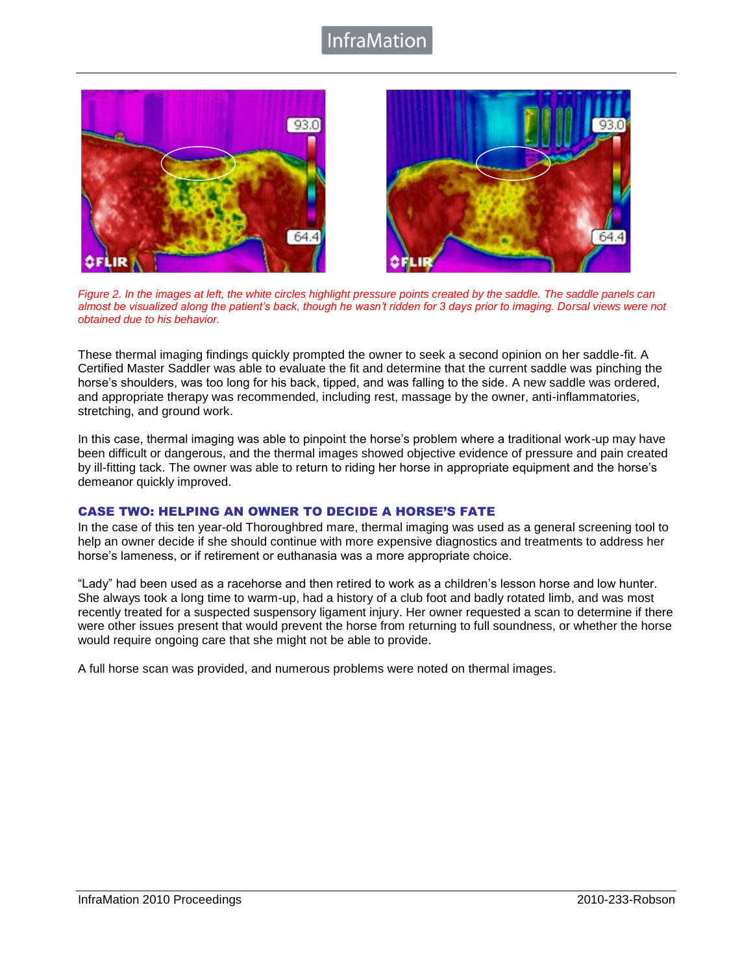# nfraMatior





*Figure 2. In the images at left, the white circles highlight pressure points created by the saddle. The saddle panels can almost be visualized along the patient's back, though he wasn't ridden for 3 days prior to imaging. Dorsal views were not obtained due to his behavior.*

These thermal imaging findings quickly prompted the owner to seek a second opinion on her saddle-fit. A Certified Master Saddler was able to evaluate the fit and determine that the current saddle was pinching the horse's shoulders, was too long for his back, tipped, and was falling to the side. A new saddle was ordered, and appropriate therapy was recommended, including rest, massage by the owner, anti-inflammatories, stretching, and ground work.

In this case, thermal imaging was able to pinpoint the horse's problem where a traditional work-up may have been difficult or dangerous, and the thermal images showed objective evidence of pressure and pain created by ill-fitting tack. The owner was able to return to riding her horse in appropriate equipment and the horse's demeanor quickly improved.

# CASE TWO: HELPING AN OWNER TO DECIDE A HORSE'S FATE

In the case of this ten year-old Thoroughbred mare, thermal imaging was used as a general screening tool to help an owner decide if she should continue with more expensive diagnostics and treatments to address her horse's lameness, or if retirement or euthanasia was a more appropriate choice.

"Lady" had been used as a racehorse and then retired to work as a children's lesson horse and low hunter. She always took a long time to warm-up, had a history of a club foot and badly rotated limb, and was most recently treated for a suspected suspensory ligament injury. Her owner requested a scan to determine if there were other issues present that would prevent the horse from returning to full soundness, or whether the horse would require ongoing care that she might not be able to provide.

A full horse scan was provided, and numerous problems were noted on thermal images.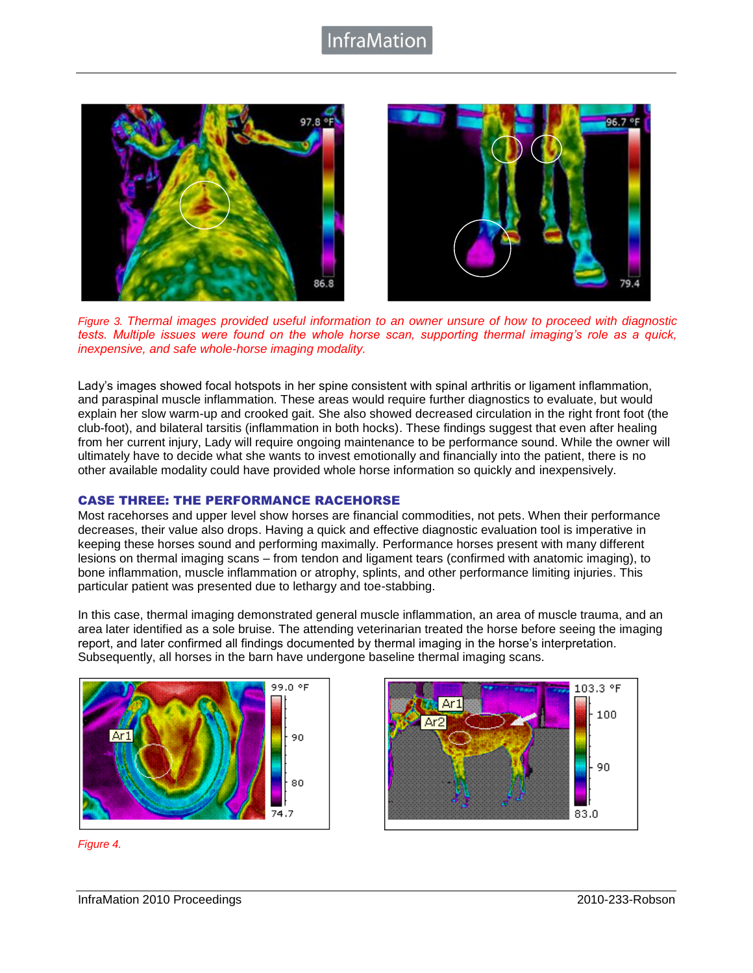# nfraMatior





*Figure 3. Thermal images provided useful information to an owner unsure of how to proceed with diagnostic tests. Multiple issues were found on the whole horse scan, supporting thermal imaging's role as a quick, inexpensive, and safe whole-horse imaging modality.*

Lady's images showed focal hotspots in her spine consistent with spinal arthritis or ligament inflammation, and paraspinal muscle inflammation. These areas would require further diagnostics to evaluate, but would explain her slow warm-up and crooked gait. She also showed decreased circulation in the right front foot (the club-foot), and bilateral tarsitis (inflammation in both hocks). These findings suggest that even after healing from her current injury, Lady will require ongoing maintenance to be performance sound. While the owner will ultimately have to decide what she wants to invest emotionally and financially into the patient, there is no other available modality could have provided whole horse information so quickly and inexpensively.

# CASE THREE: THE PERFORMANCE RACEHORSE

Most racehorses and upper level show horses are financial commodities, not pets. When their performance decreases, their value also drops. Having a quick and effective diagnostic evaluation tool is imperative in keeping these horses sound and performing maximally. Performance horses present with many different lesions on thermal imaging scans – from tendon and ligament tears (confirmed with anatomic imaging), to bone inflammation, muscle inflammation or atrophy, splints, and other performance limiting injuries. This particular patient was presented due to lethargy and toe-stabbing.

In this case, thermal imaging demonstrated general muscle inflammation, an area of muscle trauma, and an area later identified as a sole bruise. The attending veterinarian treated the horse before seeing the imaging report, and later confirmed all findings documented by thermal imaging in the horse's interpretation. Subsequently, all horses in the barn have undergone baseline thermal imaging scans.





*Figure 4.*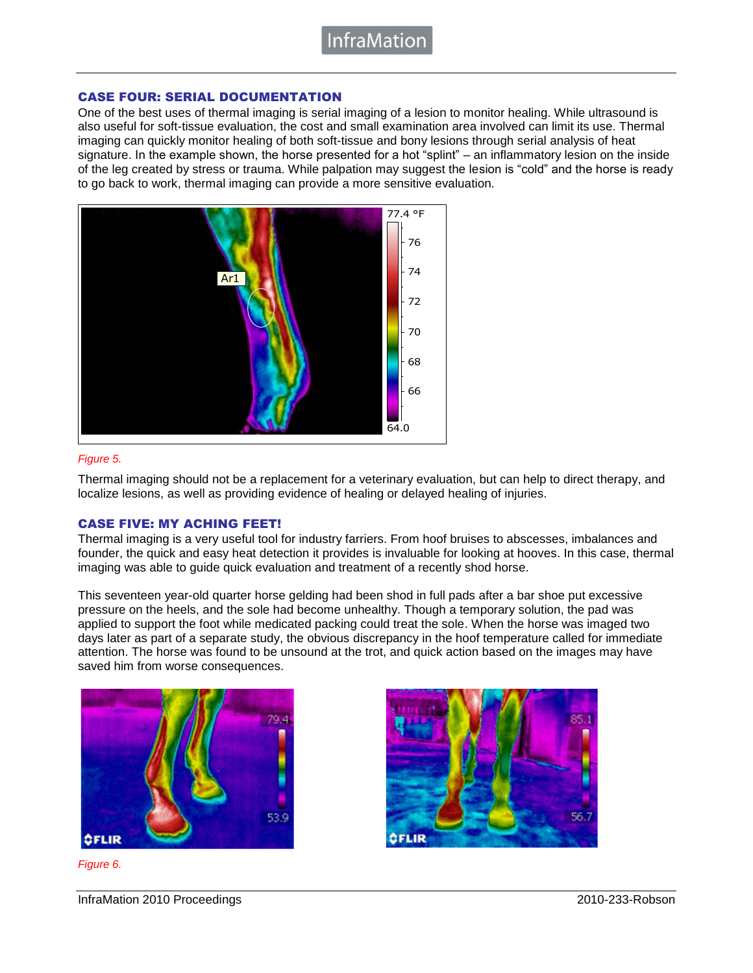**InfraMatior** 

## CASE FOUR: SERIAL DOCUMENTATION

One of the best uses of thermal imaging is serial imaging of a lesion to monitor healing. While ultrasound is also useful for soft-tissue evaluation, the cost and small examination area involved can limit its use. Thermal imaging can quickly monitor healing of both soft-tissue and bony lesions through serial analysis of heat signature. In the example shown, the horse presented for a hot "splint" – an inflammatory lesion on the inside of the leg created by stress or trauma. While palpation may suggest the lesion is "cold" and the horse is ready to go back to work, thermal imaging can provide a more sensitive evaluation.



### *Figure 5.*

Thermal imaging should not be a replacement for a veterinary evaluation, but can help to direct therapy, and localize lesions, as well as providing evidence of healing or delayed healing of injuries.

## CASE FIVE: MY ACHING FEET!

Thermal imaging is a very useful tool for industry farriers. From hoof bruises to abscesses, imbalances and founder, the quick and easy heat detection it provides is invaluable for looking at hooves. In this case, thermal imaging was able to guide quick evaluation and treatment of a recently shod horse.

This seventeen year-old quarter horse gelding had been shod in full pads after a bar shoe put excessive pressure on the heels, and the sole had become unhealthy. Though a temporary solution, the pad was applied to support the foot while medicated packing could treat the sole. When the horse was imaged two days later as part of a separate study, the obvious discrepancy in the hoof temperature called for immediate attention. The horse was found to be unsound at the trot, and quick action based on the images may have saved him from worse consequences.



**OFLIR** 

*Figure 6.*